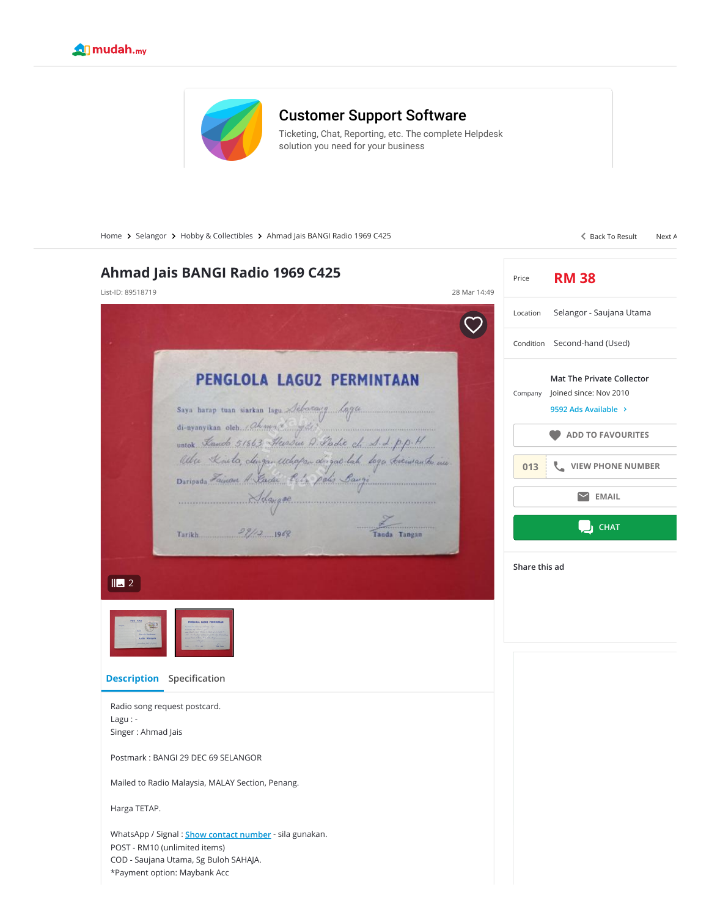



## [Customer Support Software](https://www.googleadservices.com/pagead/aclk?sa=L&ai=CpX9N1zVtYPezBsOmrAHJl4LgDpew_v9Rqdnm39MJv-EeEAEgt-WEIWDLg4CAjBegAcPgh9sDyAEBqAMByAPLBKoE-QFP0J-FLOCYdcvoOhkRvmx9JohoYFKDCsvusGKx1TQPsZJPyNbCPpm54TbmHLtFJanGOEpp0yOQywyhK-X1DSZlTaDwKVatExGrf_pn4wGqFryNpmOCcoOeKHNGd0V_ZRrRynBCEwo91ntdHnWk6EmqyIV29b-eWBASy4lo24YTs0iU-AAom5oKMD16f8o0_8m_0ZJWkmOIs6wQ6p2kgFZcrZsC5niPbMbwgPZhgv3QhU-HEgDhubrFB8UG-yphwSWX1McVu_vx2CA0Rt-YzXohXAOIYJiZ8rLChok_GR9Y81d_M_bj0gzWD8EIYD0sEXsPrb-Ttu9nd7XABLb0ncrUAYAHpZ_4JKgH1ckbqAfw2RuoB_LZG6gHjs4bqAeT2BuoB7oGqAfulrECqAemvhuoB-zVG6gH89EbqAfs1RuoB5bYG9gHAdIIBwiAYRABGADyCA1iaWRkZXItNjAyNjAysQm5FOi5uk6O8oAKBJgLAcgLAbgMAQ&ae=1&num=1&pr=13:YG011wAAAACfWF7odYuxFs5WEvPIYQgpBvT5gw&cid=CAASEuRoIQuyZIFPFCnKLZ7M1MPZKw&sig=AOD64_2pb8_rE9Zm2xgupq5YmBqcayDEsA&client=ca-pub-5722610347565274&adurl=https://freshdesk.com/lp/customer-support-software%3Ftactic_id%3D3387436%26utm_source%3DGoogle-AdWords%26utm_medium%3DRemarketing-APAC-Disp%26utm_campaign%3DRemarketing-APAC-Disp%26utm_term%3D%26device%3Dc%26gclid%3DEAIaIQobChMIt_ul1qbr7wIVQxMrCh3JiwDsEAEYASAAEgLM5vD_BwE)

[Ticketing, Chat, Reporting, etc. The complete Helpdesk](https://www.googleadservices.com/pagead/aclk?sa=L&ai=CpX9N1zVtYPezBsOmrAHJl4LgDpew_v9Rqdnm39MJv-EeEAEgt-WEIWDLg4CAjBegAcPgh9sDyAEBqAMByAPLBKoE-QFP0J-FLOCYdcvoOhkRvmx9JohoYFKDCsvusGKx1TQPsZJPyNbCPpm54TbmHLtFJanGOEpp0yOQywyhK-X1DSZlTaDwKVatExGrf_pn4wGqFryNpmOCcoOeKHNGd0V_ZRrRynBCEwo91ntdHnWk6EmqyIV29b-eWBASy4lo24YTs0iU-AAom5oKMD16f8o0_8m_0ZJWkmOIs6wQ6p2kgFZcrZsC5niPbMbwgPZhgv3QhU-HEgDhubrFB8UG-yphwSWX1McVu_vx2CA0Rt-YzXohXAOIYJiZ8rLChok_GR9Y81d_M_bj0gzWD8EIYD0sEXsPrb-Ttu9nd7XABLb0ncrUAYAHpZ_4JKgH1ckbqAfw2RuoB_LZG6gHjs4bqAeT2BuoB7oGqAfulrECqAemvhuoB-zVG6gH89EbqAfs1RuoB5bYG9gHAdIIBwiAYRABGADyCA1iaWRkZXItNjAyNjAysQm5FOi5uk6O8oAKBJgLAcgLAbgMAQ&ae=1&num=1&pr=13:YG011wAAAACfWF7odYuxFs5WEvPIYQgpBvT5gw&cid=CAASEuRoIQuyZIFPFCnKLZ7M1MPZKw&sig=AOD64_2pb8_rE9Zm2xgupq5YmBqcayDEsA&client=ca-pub-5722610347565274&adurl=https://freshdesk.com/lp/customer-support-software%3Ftactic_id%3D3387436%26utm_source%3DGoogle-AdWords%26utm_medium%3DRemarketing-APAC-Disp%26utm_campaign%3DRemarketing-APAC-Disp%26utm_term%3D%26device%3Dc%26gclid%3DEAIaIQobChMIt_ul1qbr7wIVQxMrCh3JiwDsEAEYASAAEgLM5vD_BwE) solution you need for your business

[Home](https://www.mudah.my/) > [Selangor](https://www.mudah.my/selangor/for-sale) > [Hobby & Collectibles](https://www.mudah.my/selangor/hobby-collectibles-for-sale-5040) > Ahmad Jais BANGI Radio 1969 C425 [Back To Result](https://www.mudah.my/list?o=1) [Next A](https://www.mudah.my/2021+Honda+CITY+SEV+1+5L+A+8K+RAYA+FULL+LOAN-89214349.htm) Back To Result Next A

| Ahmad Jais BANGI Radio 1969 C425<br>List-ID: 89518719                                                                                                                              | 28 Mar 14:49 | Price         | <b>RM 38</b>                                                                       |
|------------------------------------------------------------------------------------------------------------------------------------------------------------------------------------|--------------|---------------|------------------------------------------------------------------------------------|
|                                                                                                                                                                                    |              | Location      | Selangor - Saujana Utama                                                           |
|                                                                                                                                                                                    |              | Condition     | Second-hand (Used)                                                                 |
| PENGLOLA LAGU2 PERMINTAAN<br>Saya harap tuan siarkan tagu <i>Lebescang Lagu</i><br>di-nyanyikan oteh <i>Ahmad Saya</i><br>untok <i>Kando 51663 Herrina A Fadir da S. L. p.p. H</i> |              | Company       | <b>Mat The Private Collector</b><br>Joined since: Nov 2010<br>9592 Ads Available > |
|                                                                                                                                                                                    |              |               | <b>ADD TO FAVOURITES</b>                                                           |
| Allee Kinder chugan achopan dinyaé lah doga kiriwan ku ini.<br>Daripasa Fainon A Kadu Leda polis Bangi                                                                             |              | 013           | VIEW PHONE NUMBER                                                                  |
| $\frac{1}{\sqrt{2}}$                                                                                                                                                               |              |               | <b>EMAIL</b>                                                                       |
| Tarikh $28/2$ 1968<br>Tanda Tangan                                                                                                                                                 |              |               | <b>CHAT</b>                                                                        |
| $\mathbb{L}$ 2<br><b>FENGLOLA LAGUZ PERMINTARK</b><br><b>Description</b> Specification                                                                                             |              | Share this ad |                                                                                    |
| Radio song request postcard.<br>$Lagu: -$                                                                                                                                          |              |               |                                                                                    |
| Singer: Ahmad Jais<br>Postmark: BANGI 29 DEC 69 SELANGOR<br>Mailed to Radio Malaysia, MALAY Section, Penang.<br>Harga TETAP.                                                       |              |               |                                                                                    |
| WhatsApp / Signal: <b>Show contact number</b> - sila gunakan.<br>POST - RM10 (unlimited items)<br>COD - Saujana Utama, Sg Buloh SAHAJA.<br>*Payment option: Maybank Acc            |              |               |                                                                                    |